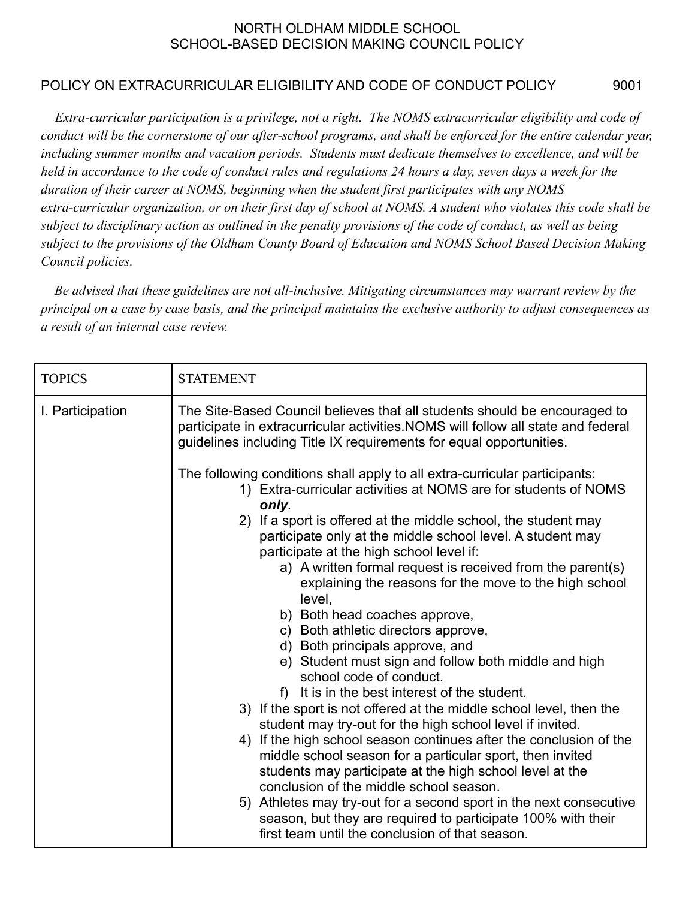## NORTH OLDHAM MIDDLE SCHOOL SCHOOL-BASED DECISION MAKING COUNCIL POLICY

## POLICY ON EXTRACURRICULAR ELIGIBILITY AND CODE OF CONDUCT POLICY 9001

*Extra-curricular participation is a privilege, not a right. The NOMS extracurricular eligibility and code of conduct will be the cornerstone of our after-school programs, and shall be enforced for the entire calendar year, including summer months and vacation periods. Students must dedicate themselves to excellence, and will be held in accordance to the code of conduct rules and regulations 24 hours a day, seven days a week for the duration of their career at NOMS, beginning when the student first participates with any NOMS extra-curricular organization, or on their first day of school at NOMS. A student who violates this code shall be subject to disciplinary action as outlined in the penalty provisions of the code of conduct, as well as being subject to the provisions of the Oldham County Board of Education and NOMS School Based Decision Making Council policies.*

*Be advised that these guidelines are not all-inclusive. Mitigating circumstances may warrant review by the principal on a case by case basis, and the principal maintains the exclusive authority to adjust consequences as a result of an internal case review.*

| <b>TOPICS</b>    | <b>STATEMENT</b>                                                                                                                                                                                                                                                                                                                                                                                                                                                                                                                                                                                                                                                                                                                                                                                                |  |  |
|------------------|-----------------------------------------------------------------------------------------------------------------------------------------------------------------------------------------------------------------------------------------------------------------------------------------------------------------------------------------------------------------------------------------------------------------------------------------------------------------------------------------------------------------------------------------------------------------------------------------------------------------------------------------------------------------------------------------------------------------------------------------------------------------------------------------------------------------|--|--|
| I. Participation | The Site-Based Council believes that all students should be encouraged to<br>participate in extracurricular activities. NOMS will follow all state and federal<br>guidelines including Title IX requirements for equal opportunities.<br>The following conditions shall apply to all extra-curricular participants:<br>1) Extra-curricular activities at NOMS are for students of NOMS<br>only.<br>2) If a sport is offered at the middle school, the student may<br>participate only at the middle school level. A student may<br>participate at the high school level if:<br>a) A written formal request is received from the parent(s)<br>explaining the reasons for the move to the high school<br>level,                                                                                                   |  |  |
|                  | b) Both head coaches approve,<br>c) Both athletic directors approve,<br>d) Both principals approve, and<br>e) Student must sign and follow both middle and high<br>school code of conduct.<br>It is in the best interest of the student.<br>3) If the sport is not offered at the middle school level, then the<br>student may try-out for the high school level if invited.<br>4) If the high school season continues after the conclusion of the<br>middle school season for a particular sport, then invited<br>students may participate at the high school level at the<br>conclusion of the middle school season.<br>5) Athletes may try-out for a second sport in the next consecutive<br>season, but they are required to participate 100% with their<br>first team until the conclusion of that season. |  |  |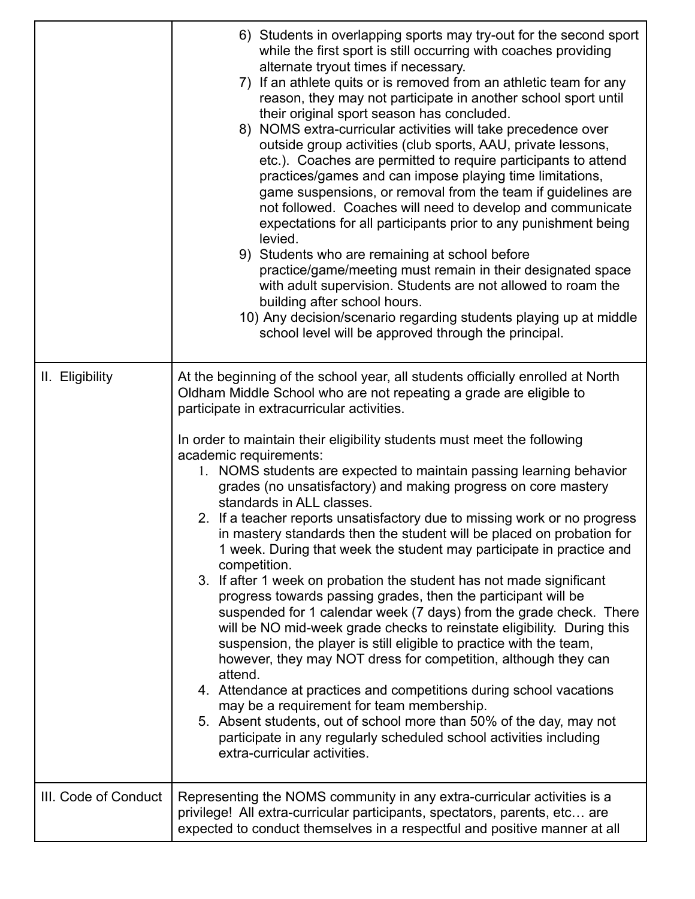|                      | 6) Students in overlapping sports may try-out for the second sport<br>while the first sport is still occurring with coaches providing<br>alternate tryout times if necessary.<br>7) If an athlete quits or is removed from an athletic team for any<br>reason, they may not participate in another school sport until<br>their original sport season has concluded.<br>8) NOMS extra-curricular activities will take precedence over<br>outside group activities (club sports, AAU, private lessons,<br>etc.). Coaches are permitted to require participants to attend<br>practices/games and can impose playing time limitations,<br>game suspensions, or removal from the team if guidelines are<br>not followed. Coaches will need to develop and communicate<br>expectations for all participants prior to any punishment being<br>levied.<br>9) Students who are remaining at school before<br>practice/game/meeting must remain in their designated space<br>with adult supervision. Students are not allowed to roam the<br>building after school hours.<br>10) Any decision/scenario regarding students playing up at middle<br>school level will be approved through the principal.                                                                                                                                                                                                                                                                              |
|----------------------|---------------------------------------------------------------------------------------------------------------------------------------------------------------------------------------------------------------------------------------------------------------------------------------------------------------------------------------------------------------------------------------------------------------------------------------------------------------------------------------------------------------------------------------------------------------------------------------------------------------------------------------------------------------------------------------------------------------------------------------------------------------------------------------------------------------------------------------------------------------------------------------------------------------------------------------------------------------------------------------------------------------------------------------------------------------------------------------------------------------------------------------------------------------------------------------------------------------------------------------------------------------------------------------------------------------------------------------------------------------------------------------------------------------------------------------------------------------------------|
| II. Eligibility      | At the beginning of the school year, all students officially enrolled at North<br>Oldham Middle School who are not repeating a grade are eligible to<br>participate in extracurricular activities.<br>In order to maintain their eligibility students must meet the following<br>academic requirements:<br>1. NOMS students are expected to maintain passing learning behavior<br>grades (no unsatisfactory) and making progress on core mastery<br>standards in ALL classes.<br>2. If a teacher reports unsatisfactory due to missing work or no progress<br>in mastery standards then the student will be placed on probation for<br>1 week. During that week the student may participate in practice and<br>competition.<br>3. If after 1 week on probation the student has not made significant<br>progress towards passing grades, then the participant will be<br>suspended for 1 calendar week (7 days) from the grade check. There<br>will be NO mid-week grade checks to reinstate eligibility. During this<br>suspension, the player is still eligible to practice with the team,<br>however, they may NOT dress for competition, although they can<br>attend.<br>4. Attendance at practices and competitions during school vacations<br>may be a requirement for team membership.<br>5. Absent students, out of school more than 50% of the day, may not<br>participate in any regularly scheduled school activities including<br>extra-curricular activities. |
| III. Code of Conduct | Representing the NOMS community in any extra-curricular activities is a<br>privilege! All extra-curricular participants, spectators, parents, etc are<br>expected to conduct themselves in a respectful and positive manner at all                                                                                                                                                                                                                                                                                                                                                                                                                                                                                                                                                                                                                                                                                                                                                                                                                                                                                                                                                                                                                                                                                                                                                                                                                                        |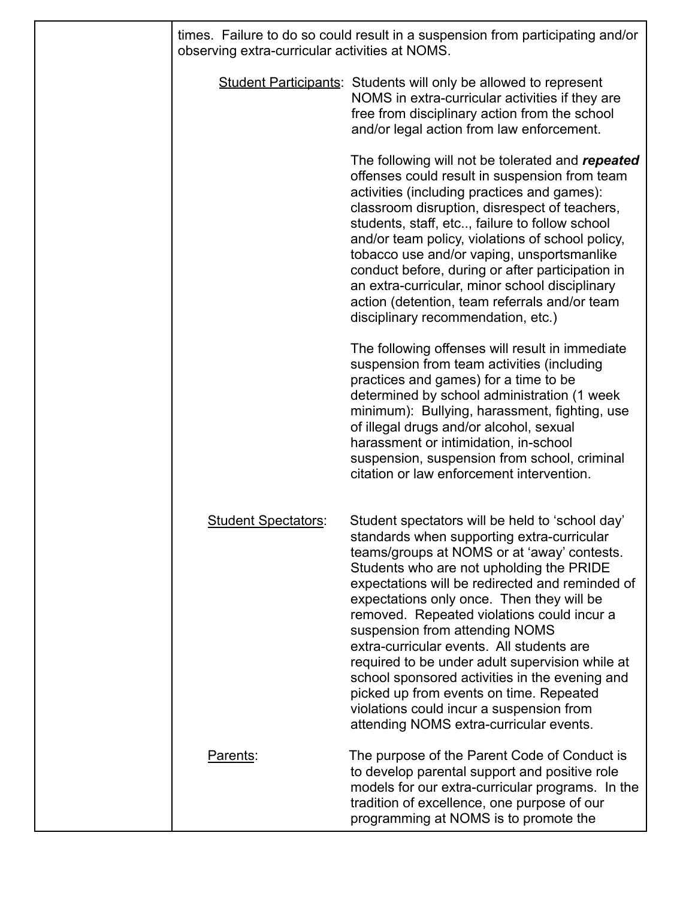| times. Failure to do so could result in a suspension from participating and/or<br>observing extra-curricular activities at NOMS. |                                                                                                                                                                                                                                                                                                                                                                                                                                                                                                                                                                                                                                                              |  |
|----------------------------------------------------------------------------------------------------------------------------------|--------------------------------------------------------------------------------------------------------------------------------------------------------------------------------------------------------------------------------------------------------------------------------------------------------------------------------------------------------------------------------------------------------------------------------------------------------------------------------------------------------------------------------------------------------------------------------------------------------------------------------------------------------------|--|
|                                                                                                                                  | <b>Student Participants:</b> Students will only be allowed to represent<br>NOMS in extra-curricular activities if they are<br>free from disciplinary action from the school<br>and/or legal action from law enforcement.                                                                                                                                                                                                                                                                                                                                                                                                                                     |  |
|                                                                                                                                  | The following will not be tolerated and repeated<br>offenses could result in suspension from team<br>activities (including practices and games):<br>classroom disruption, disrespect of teachers,<br>students, staff, etc, failure to follow school<br>and/or team policy, violations of school policy,<br>tobacco use and/or vaping, unsportsmanlike<br>conduct before, during or after participation in<br>an extra-curricular, minor school disciplinary<br>action (detention, team referrals and/or team<br>disciplinary recommendation, etc.)                                                                                                           |  |
|                                                                                                                                  | The following offenses will result in immediate<br>suspension from team activities (including<br>practices and games) for a time to be<br>determined by school administration (1 week<br>minimum): Bullying, harassment, fighting, use<br>of illegal drugs and/or alcohol, sexual<br>harassment or intimidation, in-school<br>suspension, suspension from school, criminal<br>citation or law enforcement intervention.                                                                                                                                                                                                                                      |  |
| <b>Student Spectators:</b>                                                                                                       | Student spectators will be held to 'school day'<br>standards when supporting extra-curricular<br>teams/groups at NOMS or at 'away' contests.<br>Students who are not upholding the PRIDE<br>expectations will be redirected and reminded of<br>expectations only once. Then they will be<br>removed. Repeated violations could incur a<br>suspension from attending NOMS<br>extra-curricular events. All students are<br>required to be under adult supervision while at<br>school sponsored activities in the evening and<br>picked up from events on time. Repeated<br>violations could incur a suspension from<br>attending NOMS extra-curricular events. |  |
| Parents:                                                                                                                         | The purpose of the Parent Code of Conduct is<br>to develop parental support and positive role<br>models for our extra-curricular programs. In the<br>tradition of excellence, one purpose of our<br>programming at NOMS is to promote the                                                                                                                                                                                                                                                                                                                                                                                                                    |  |